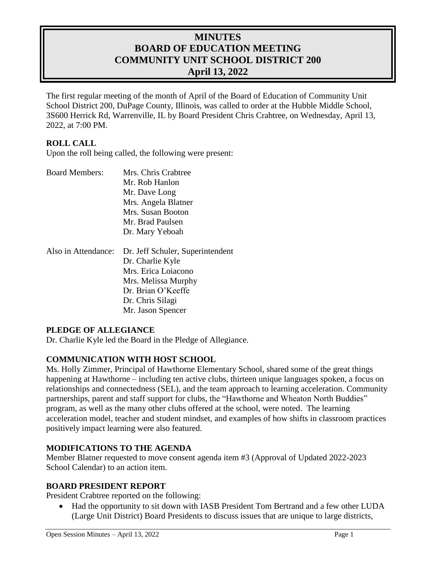# **MINUTES BOARD OF EDUCATION MEETING COMMUNITY UNIT SCHOOL DISTRICT 200 April 13, 2022**

The first regular meeting of the month of April of the Board of Education of Community Unit School District 200, DuPage County, Illinois, was called to order at the Hubble Middle School, 3S600 Herrick Rd, Warrenville, IL by Board President Chris Crabtree, on Wednesday, April 13, 2022, at 7:00 PM.

### **ROLL CALL**

Upon the roll being called, the following were present:

| <b>Board Members:</b> | Mrs. Chris Crabtree              |
|-----------------------|----------------------------------|
|                       | Mr. Rob Hanlon                   |
|                       | Mr. Dave Long                    |
|                       | Mrs. Angela Blatner              |
|                       | Mrs. Susan Booton                |
|                       | Mr. Brad Paulsen                 |
|                       | Dr. Mary Yeboah                  |
| Also in Attendance:   | Dr. Jeff Schuler, Superintendent |
|                       | Dr. Charlie Kyle                 |
|                       | Mrs. Erica Loiacono              |
|                       | Mrs. Melissa Murphy              |
|                       |                                  |

Dr. Brian O'Keeffe Dr. Chris Silagi Mr. Jason Spencer

### **PLEDGE OF ALLEGIANCE**

Dr. Charlie Kyle led the Board in the Pledge of Allegiance.

### **COMMUNICATION WITH HOST SCHOOL**

Ms. Holly Zimmer, Principal of Hawthorne Elementary School, shared some of the great things happening at Hawthorne – including ten active clubs, thirteen unique languages spoken, a focus on relationships and connectedness (SEL), and the team approach to learning acceleration. Community partnerships, parent and staff support for clubs, the "Hawthorne and Wheaton North Buddies" program, as well as the many other clubs offered at the school, were noted. The learning acceleration model, teacher and student mindset, and examples of how shifts in classroom practices positively impact learning were also featured.

### **MODIFICATIONS TO THE AGENDA**

Member Blatner requested to move consent agenda item #3 (Approval of Updated 2022-2023 School Calendar) to an action item.

#### **BOARD PRESIDENT REPORT**

President Crabtree reported on the following:

• Had the opportunity to sit down with IASB President Tom Bertrand and a few other LUDA (Large Unit District) Board Presidents to discuss issues that are unique to large districts,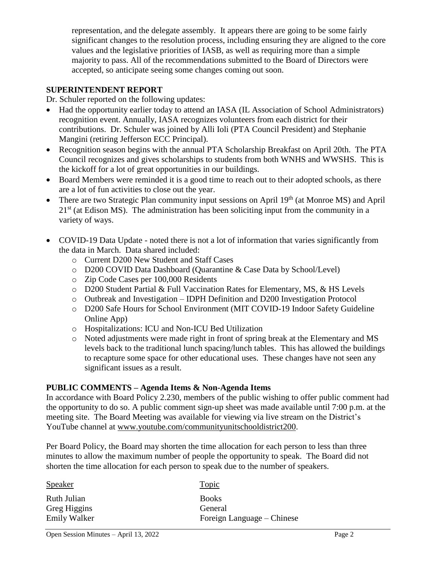representation, and the delegate assembly. It appears there are going to be some fairly significant changes to the resolution process, including ensuring they are aligned to the core values and the legislative priorities of IASB, as well as requiring more than a simple majority to pass. All of the recommendations submitted to the Board of Directors were accepted, so anticipate seeing some changes coming out soon.

### **SUPERINTENDENT REPORT**

Dr. Schuler reported on the following updates:

- Had the opportunity earlier today to attend an IASA (IL Association of School Administrators) recognition event. Annually, IASA recognizes volunteers from each district for their contributions. Dr. Schuler was joined by Alli Ioli (PTA Council President) and Stephanie Mangini (retiring Jefferson ECC Principal).
- Recognition season begins with the annual PTA Scholarship Breakfast on April 20th. The PTA Council recognizes and gives scholarships to students from both WNHS and WWSHS. This is the kickoff for a lot of great opportunities in our buildings.
- Board Members were reminded it is a good time to reach out to their adopted schools, as there are a lot of fun activities to close out the year.
- There are two Strategic Plan community input sessions on April  $19<sup>th</sup>$  (at Monroe MS) and April  $21<sup>st</sup>$  (at Edison MS). The administration has been soliciting input from the community in a variety of ways.
- COVID-19 Data Update noted there is not a lot of information that varies significantly from the data in March. Data shared included:
	- o Current D200 New Student and Staff Cases
	- o D200 COVID Data Dashboard (Quarantine & Case Data by School/Level)
	- o Zip Code Cases per 100,000 Residents
	- o D200 Student Partial & Full Vaccination Rates for Elementary, MS, & HS Levels
	- o Outbreak and Investigation IDPH Definition and D200 Investigation Protocol
	- o D200 Safe Hours for School Environment (MIT COVID-19 Indoor Safety Guideline Online App)
	- o Hospitalizations: ICU and Non-ICU Bed Utilization
	- o Noted adjustments were made right in front of spring break at the Elementary and MS levels back to the traditional lunch spacing/lunch tables. This has allowed the buildings to recapture some space for other educational uses. These changes have not seen any significant issues as a result.

### **PUBLIC COMMENTS – Agenda Items & Non-Agenda Items**

In accordance with Board Policy 2.230, members of the public wishing to offer public comment had the opportunity to do so. A public comment sign-up sheet was made available until 7:00 p.m. at the meeting site. The Board Meeting was available for viewing via live stream on the District's YouTube channel at [www.youtube.com/communityunitschooldistrict200.](http://www.youtube.com/communityunitschooldistrict200)

Per Board Policy, the Board may shorten the time allocation for each person to less than three minutes to allow the maximum number of people the opportunity to speak. The Board did not shorten the time allocation for each person to speak due to the number of speakers.

| <b>Speaker</b>      | <b>Topic</b>               |
|---------------------|----------------------------|
| Ruth Julian         | <b>Books</b>               |
| Greg Higgins        | General                    |
| <b>Emily Walker</b> | Foreign Language – Chinese |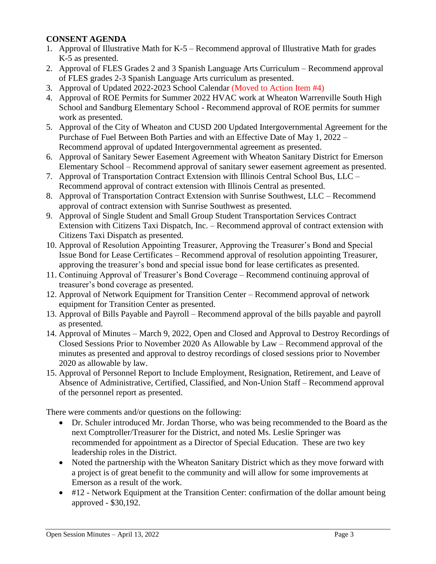### **CONSENT AGENDA**

- 1. Approval of Illustrative Math for K-5 Recommend approval of Illustrative Math for grades K-5 as presented.
- 2. Approval of FLES Grades 2 and 3 Spanish Language Arts Curriculum Recommend approval of FLES grades 2-3 Spanish Language Arts curriculum as presented.
- 3. Approval of Updated 2022-2023 School Calendar (Moved to Action Item #4)
- 4. Approval of ROE Permits for Summer 2022 HVAC work at Wheaton Warrenville South High School and Sandburg Elementary School - Recommend approval of ROE permits for summer work as presented.
- 5. Approval of the City of Wheaton and CUSD 200 Updated Intergovernmental Agreement for the Purchase of Fuel Between Both Parties and with an Effective Date of May 1, 2022 – Recommend approval of updated Intergovernmental agreement as presented.
- 6. Approval of Sanitary Sewer Easement Agreement with Wheaton Sanitary District for Emerson Elementary School – Recommend approval of sanitary sewer easement agreement as presented.
- 7. Approval of Transportation Contract Extension with Illinois Central School Bus, LLC Recommend approval of contract extension with Illinois Central as presented.
- 8. Approval of Transportation Contract Extension with Sunrise Southwest, LLC Recommend approval of contract extension with Sunrise Southwest as presented.
- 9. Approval of Single Student and Small Group Student Transportation Services Contract Extension with Citizens Taxi Dispatch, Inc. – Recommend approval of contract extension with Citizens Taxi Dispatch as presented.
- 10. Approval of Resolution Appointing Treasurer, Approving the Treasurer's Bond and Special Issue Bond for Lease Certificates – Recommend approval of resolution appointing Treasurer, approving the treasurer's bond and special issue bond for lease certificates as presented.
- 11. Continuing Approval of Treasurer's Bond Coverage Recommend continuing approval of treasurer's bond coverage as presented.
- 12. Approval of Network Equipment for Transition Center Recommend approval of network equipment for Transition Center as presented.
- 13. Approval of Bills Payable and Payroll Recommend approval of the bills payable and payroll as presented.
- 14. Approval of Minutes March 9, 2022, Open and Closed and Approval to Destroy Recordings of Closed Sessions Prior to November 2020 As Allowable by Law – Recommend approval of the minutes as presented and approval to destroy recordings of closed sessions prior to November 2020 as allowable by law.
- 15. Approval of Personnel Report to Include Employment, Resignation, Retirement, and Leave of Absence of Administrative, Certified, Classified, and Non-Union Staff – Recommend approval of the personnel report as presented.

There were comments and/or questions on the following:

- Dr. Schuler introduced Mr. Jordan Thorse, who was being recommended to the Board as the next Comptroller/Treasurer for the District, and noted Ms. Leslie Springer was recommended for appointment as a Director of Special Education. These are two key leadership roles in the District.
- Noted the partnership with the Wheaton Sanitary District which as they move forward with a project is of great benefit to the community and will allow for some improvements at Emerson as a result of the work.
- #12 Network Equipment at the Transition Center: confirmation of the dollar amount being approved - \$30,192.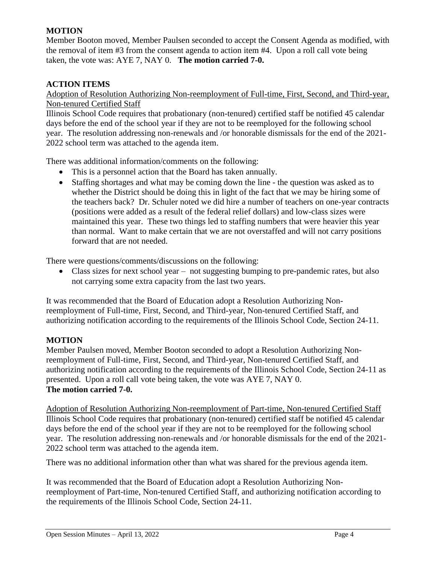### **MOTION**

Member Booton moved, Member Paulsen seconded to accept the Consent Agenda as modified, with the removal of item #3 from the consent agenda to action item #4. Upon a roll call vote being taken, the vote was: AYE 7, NAY 0. **The motion carried 7-0.** 

### **ACTION ITEMS**

Adoption of Resolution Authorizing Non-reemployment of Full-time, First, Second, and Third-year, Non-tenured Certified Staff

Illinois School Code requires that probationary (non-tenured) certified staff be notified 45 calendar days before the end of the school year if they are not to be reemployed for the following school year. The resolution addressing non-renewals and /or honorable dismissals for the end of the 2021- 2022 school term was attached to the agenda item.

There was additional information/comments on the following:

- This is a personnel action that the Board has taken annually.
- Staffing shortages and what may be coming down the line the question was asked as to whether the District should be doing this in light of the fact that we may be hiring some of the teachers back? Dr. Schuler noted we did hire a number of teachers on one-year contracts (positions were added as a result of the federal relief dollars) and low-class sizes were maintained this year. These two things led to staffing numbers that were heavier this year than normal. Want to make certain that we are not overstaffed and will not carry positions forward that are not needed.

There were questions/comments/discussions on the following:

• Class sizes for next school year – not suggesting bumping to pre-pandemic rates, but also not carrying some extra capacity from the last two years.

It was recommended that the Board of Education adopt a Resolution Authorizing Nonreemployment of Full-time, First, Second, and Third-year, Non-tenured Certified Staff, and authorizing notification according to the requirements of the Illinois School Code, Section 24-11.

### **MOTION**

Member Paulsen moved, Member Booton seconded to adopt a Resolution Authorizing Nonreemployment of Full-time, First, Second, and Third-year, Non-tenured Certified Staff, and authorizing notification according to the requirements of the Illinois School Code, Section 24-11 as presented. Upon a roll call vote being taken, the vote was AYE 7, NAY 0. **The motion carried 7-0.**

Adoption of Resolution Authorizing Non-reemployment of Part-time, Non-tenured Certified Staff Illinois School Code requires that probationary (non-tenured) certified staff be notified 45 calendar days before the end of the school year if they are not to be reemployed for the following school year. The resolution addressing non-renewals and /or honorable dismissals for the end of the 2021- 2022 school term was attached to the agenda item.

There was no additional information other than what was shared for the previous agenda item.

It was recommended that the Board of Education adopt a Resolution Authorizing Nonreemployment of Part-time, Non-tenured Certified Staff, and authorizing notification according to the requirements of the Illinois School Code, Section 24-11.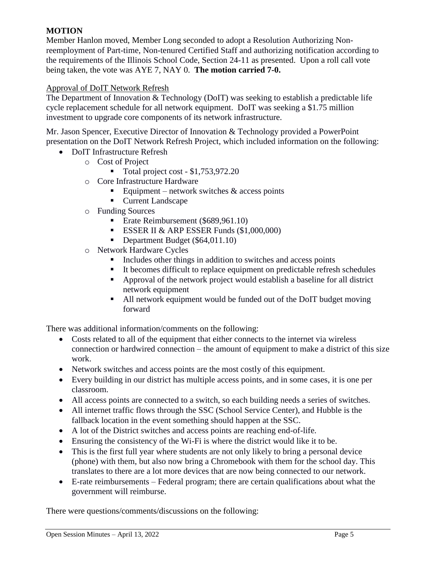### **MOTION**

Member Hanlon moved, Member Long seconded to adopt a Resolution Authorizing Nonreemployment of Part-time, Non-tenured Certified Staff and authorizing notification according to the requirements of the Illinois School Code, Section 24-11 as presented. Upon a roll call vote being taken, the vote was AYE 7, NAY 0. **The motion carried 7-0.**

#### Approval of DoIT Network Refresh

The Department of Innovation & Technology (DoIT) was seeking to establish a predictable life cycle replacement schedule for all network equipment. DoIT was seeking a \$1.75 million investment to upgrade core components of its network infrastructure.

Mr. Jason Spencer, Executive Director of Innovation & Technology provided a PowerPoint presentation on the DoIT Network Refresh Project, which included information on the following:

- DoIT Infrastructure Refresh
	- o Cost of Project
		- $\blacksquare$  Total project cost \$1,753,972.20
	- o Core Infrastructure Hardware
		- Equipment network switches  $&$  access points
		- **Current Landscape**
	- o Funding Sources
		- Erate Reimbursement (\$689,961.10)
		- ESSER II & ARP ESSER Funds  $(\$1,000,000)$
		- Department Budget (\$64,011.10)
	- o Network Hardware Cycles
		- Includes other things in addition to switches and access points
		- It becomes difficult to replace equipment on predictable refresh schedules
		- Approval of the network project would establish a baseline for all district network equipment
		- I All network equipment would be funded out of the DoIT budget moving forward

There was additional information/comments on the following:

- Costs related to all of the equipment that either connects to the internet via wireless connection or hardwired connection – the amount of equipment to make a district of this size work.
- Network switches and access points are the most costly of this equipment.
- Every building in our district has multiple access points, and in some cases, it is one per classroom.
- All access points are connected to a switch, so each building needs a series of switches.
- All internet traffic flows through the SSC (School Service Center), and Hubble is the fallback location in the event something should happen at the SSC.
- A lot of the District switches and access points are reaching end-of-life.
- Ensuring the consistency of the Wi-Fi is where the district would like it to be.
- This is the first full year where students are not only likely to bring a personal device (phone) with them, but also now bring a Chromebook with them for the school day. This translates to there are a lot more devices that are now being connected to our network.
- E-rate reimbursements Federal program; there are certain qualifications about what the government will reimburse.

There were questions/comments/discussions on the following: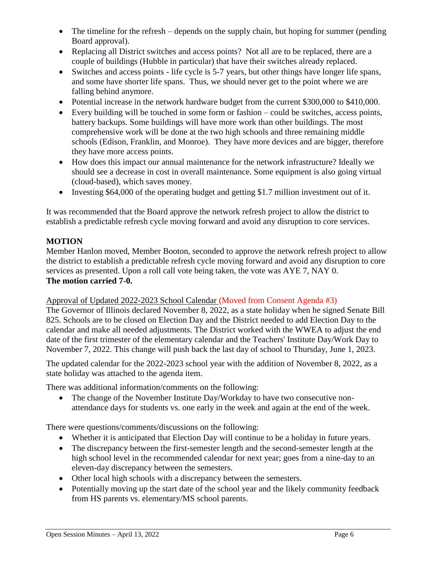- The timeline for the refresh depends on the supply chain, but hoping for summer (pending Board approval).
- Replacing all District switches and access points? Not all are to be replaced, there are a couple of buildings (Hubble in particular) that have their switches already replaced.
- Switches and access points life cycle is 5-7 years, but other things have longer life spans, and some have shorter life spans. Thus, we should never get to the point where we are falling behind anymore.
- Potential increase in the network hardware budget from the current \$300,000 to \$410,000.
- Every building will be touched in some form or fashion could be switches, access points, battery backups. Some buildings will have more work than other buildings. The most comprehensive work will be done at the two high schools and three remaining middle schools (Edison, Franklin, and Monroe). They have more devices and are bigger, therefore they have more access points.
- How does this impact our annual maintenance for the network infrastructure? Ideally we should see a decrease in cost in overall maintenance. Some equipment is also going virtual (cloud-based), which saves money.
- Investing \$64,000 of the operating budget and getting \$1.7 million investment out of it.

It was recommended that the Board approve the network refresh project to allow the district to establish a predictable refresh cycle moving forward and avoid any disruption to core services.

## **MOTION**

Member Hanlon moved, Member Booton, seconded to approve the network refresh project to allow the district to establish a predictable refresh cycle moving forward and avoid any disruption to core services as presented. Upon a roll call vote being taken, the vote was AYE 7, NAY 0. **The motion carried 7-0.** 

### Approval of Updated 2022-2023 School Calendar (Moved from Consent Agenda #3)

The Governor of Illinois declared November 8, 2022, as a state holiday when he signed Senate Bill 825. Schools are to be closed on Election Day and the District needed to add Election Day to the calendar and make all needed adjustments. The District worked with the WWEA to adjust the end date of the first trimester of the elementary calendar and the Teachers' Institute Day/Work Day to November 7, 2022. This change will push back the last day of school to Thursday, June 1, 2023.

The updated calendar for the 2022-2023 school year with the addition of November 8, 2022, as a state holiday was attached to the agenda item.

There was additional information/comments on the following:

• The change of the November Institute Day/Workday to have two consecutive nonattendance days for students vs. one early in the week and again at the end of the week.

There were questions/comments/discussions on the following:

- Whether it is anticipated that Election Day will continue to be a holiday in future years.
- The discrepancy between the first-semester length and the second-semester length at the high school level in the recommended calendar for next year; goes from a nine-day to an eleven-day discrepancy between the semesters.
- Other local high schools with a discrepancy between the semesters.
- Potentially moving up the start date of the school year and the likely community feedback from HS parents vs. elementary/MS school parents.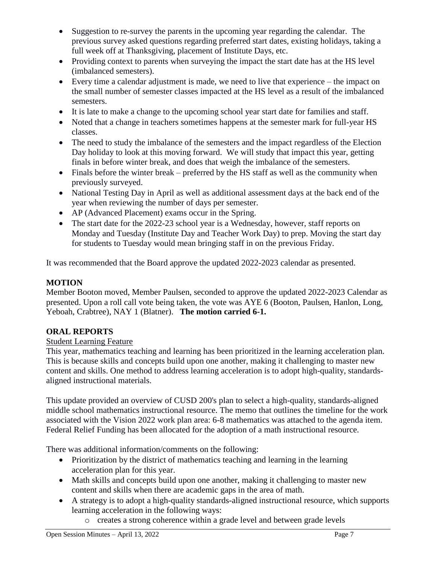- Suggestion to re-survey the parents in the upcoming year regarding the calendar. The previous survey asked questions regarding preferred start dates, existing holidays, taking a full week off at Thanksgiving, placement of Institute Days, etc.
- Providing context to parents when surveying the impact the start date has at the HS level (imbalanced semesters).
- Every time a calendar adjustment is made, we need to live that experience the impact on the small number of semester classes impacted at the HS level as a result of the imbalanced semesters.
- It is late to make a change to the upcoming school year start date for families and staff.
- Noted that a change in teachers sometimes happens at the semester mark for full-year HS classes.
- The need to study the imbalance of the semesters and the impact regardless of the Election Day holiday to look at this moving forward. We will study that impact this year, getting finals in before winter break, and does that weigh the imbalance of the semesters.
- Finals before the winter break preferred by the HS staff as well as the community when previously surveyed.
- National Testing Day in April as well as additional assessment days at the back end of the year when reviewing the number of days per semester.
- AP (Advanced Placement) exams occur in the Spring.
- The start date for the 2022-23 school year is a Wednesday, however, staff reports on Monday and Tuesday (Institute Day and Teacher Work Day) to prep. Moving the start day for students to Tuesday would mean bringing staff in on the previous Friday.

It was recommended that the Board approve the updated 2022-2023 calendar as presented.

# **MOTION**

Member Booton moved, Member Paulsen, seconded to approve the updated 2022-2023 Calendar as presented. Upon a roll call vote being taken, the vote was AYE 6 (Booton, Paulsen, Hanlon, Long, Yeboah, Crabtree), NAY 1 (Blatner). **The motion carried 6-1.** 

# **ORAL REPORTS**

### Student Learning Feature

This year, mathematics teaching and learning has been prioritized in the learning acceleration plan. This is because skills and concepts build upon one another, making it challenging to master new content and skills. One method to address learning acceleration is to adopt high-quality, standardsaligned instructional materials.

This update provided an overview of CUSD 200's plan to select a high-quality, standards-aligned middle school mathematics instructional resource. The memo that outlines the timeline for the work associated with the Vision 2022 work plan area: 6-8 mathematics was attached to the agenda item. Federal Relief Funding has been allocated for the adoption of a math instructional resource.

There was additional information/comments on the following:

- Prioritization by the district of mathematics teaching and learning in the learning acceleration plan for this year.
- Math skills and concepts build upon one another, making it challenging to master new content and skills when there are academic gaps in the area of math.
- A strategy is to adopt a high-quality standards-aligned instructional resource, which supports learning acceleration in the following ways:
	- o creates a strong coherence within a grade level and between grade levels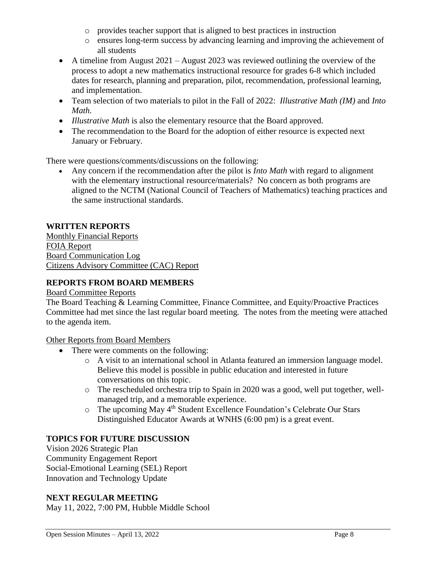- o provides teacher support that is aligned to best practices in instruction
- o ensures long-term success by advancing learning and improving the achievement of all students
- $\bullet$  A timeline from August 2021 August 2023 was reviewed outlining the overview of the process to adopt a new mathematics instructional resource for grades 6-8 which included dates for research, planning and preparation, pilot, recommendation, professional learning, and implementation.
- Team selection of two materials to pilot in the Fall of 2022: *Illustrative Math (IM)* and *Into Math.*
- *Illustrative Math* is also the elementary resource that the Board approved.
- The recommendation to the Board for the adoption of either resource is expected next January or February.

There were questions/comments/discussions on the following:

 Any concern if the recommendation after the pilot is *Into Math* with regard to alignment with the elementary instructional resource/materials? No concern as both programs are aligned to the NCTM (National Council of Teachers of Mathematics) teaching practices and the same instructional standards.

### **WRITTEN REPORTS**

Monthly Financial Reports FOIA Report Board Communication Log Citizens Advisory Committee (CAC) Report

### **REPORTS FROM BOARD MEMBERS**

#### Board Committee Reports

The Board Teaching & Learning Committee, Finance Committee, and Equity/Proactive Practices Committee had met since the last regular board meeting. The notes from the meeting were attached to the agenda item.

Other Reports from Board Members

- There were comments on the following:
	- o A visit to an international school in Atlanta featured an immersion language model. Believe this model is possible in public education and interested in future conversations on this topic.
	- o The rescheduled orchestra trip to Spain in 2020 was a good, well put together, wellmanaged trip, and a memorable experience.
	- o The upcoming May 4th Student Excellence Foundation's Celebrate Our Stars Distinguished Educator Awards at WNHS (6:00 pm) is a great event.

### **TOPICS FOR FUTURE DISCUSSION**

Vision 2026 Strategic Plan Community Engagement Report Social-Emotional Learning (SEL) Report Innovation and Technology Update

#### **NEXT REGULAR MEETING**

May 11, 2022, 7:00 PM, Hubble Middle School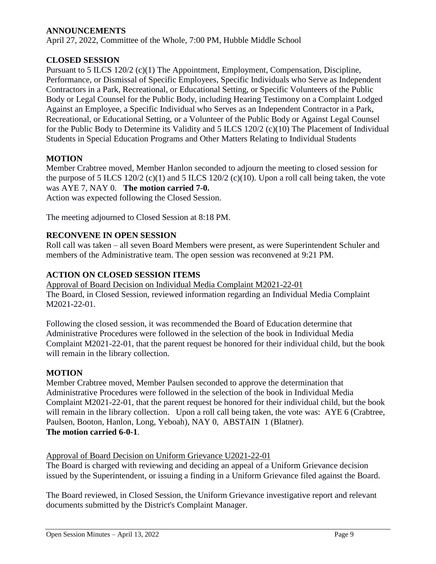### **ANNOUNCEMENTS**

April 27, 2022, Committee of the Whole, 7:00 PM, Hubble Middle School

### **CLOSED SESSION**

Pursuant to 5 ILCS 120/2 (c)(1) The Appointment, Employment, Compensation, Discipline, Performance, or Dismissal of Specific Employees, Specific Individuals who Serve as Independent Contractors in a Park, Recreational, or Educational Setting, or Specific Volunteers of the Public Body or Legal Counsel for the Public Body, including Hearing Testimony on a Complaint Lodged Against an Employee, a Specific Individual who Serves as an Independent Contractor in a Park, Recreational, or Educational Setting, or a Volunteer of the Public Body or Against Legal Counsel for the Public Body to Determine its Validity and 5 ILCS 120/2 (c)(10) The Placement of Individual Students in Special Education Programs and Other Matters Relating to Individual Students

### **MOTION**

Member Crabtree moved, Member Hanlon seconded to adjourn the meeting to closed session for the purpose of 5 ILCS 120/2 (c)(1) and 5 ILCS 120/2 (c)(10). Upon a roll call being taken, the vote was AYE 7, NAY 0. **The motion carried 7-0.** 

Action was expected following the Closed Session.

The meeting adjourned to Closed Session at 8:18 PM.

### **RECONVENE IN OPEN SESSION**

Roll call was taken – all seven Board Members were present, as were Superintendent Schuler and members of the Administrative team. The open session was reconvened at 9:21 PM.

### **ACTION ON CLOSED SESSION ITEMS**

Approval of Board Decision on Individual Media Complaint M2021-22-01 The Board, in Closed Session, reviewed information regarding an Individual Media Complaint M2021-22-01.

Following the closed session, it was recommended the Board of Education determine that Administrative Procedures were followed in the selection of the book in Individual Media Complaint M2021-22-01, that the parent request be honored for their individual child, but the book will remain in the library collection.

### **MOTION**

Member Crabtree moved, Member Paulsen seconded to approve the determination that Administrative Procedures were followed in the selection of the book in Individual Media Complaint M2021-22-01, that the parent request be honored for their individual child, but the book will remain in the library collection. Upon a roll call being taken, the vote was: AYE 6 (Crabtree, Paulsen, Booton, Hanlon, Long, Yeboah), NAY 0, ABSTAIN 1 (Blatner). **The motion carried 6-0-1**.

### Approval of Board Decision on Uniform Grievance U2021-22-01

The Board is charged with reviewing and deciding an appeal of a Uniform Grievance decision issued by the Superintendent, or issuing a finding in a Uniform Grievance filed against the Board.

The Board reviewed, in Closed Session, the Uniform Grievance investigative report and relevant documents submitted by the District's Complaint Manager.